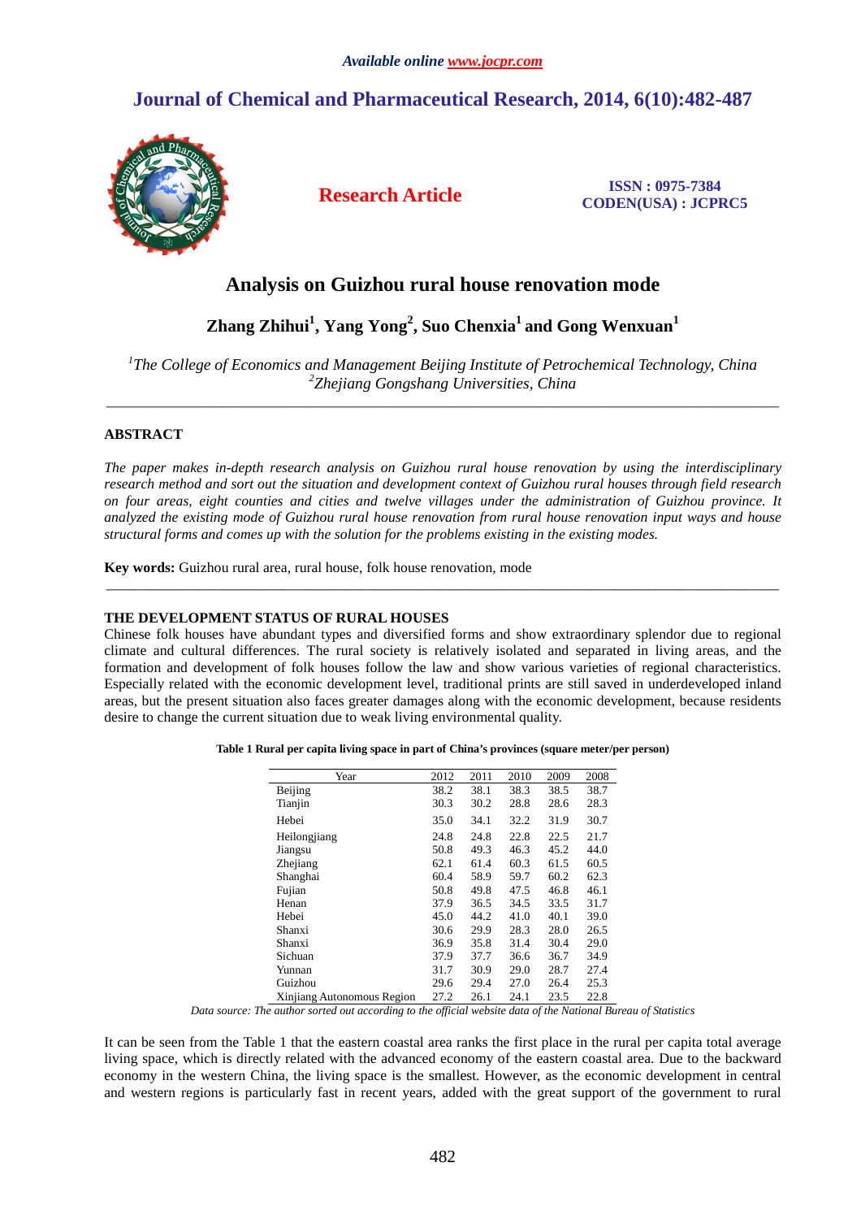# **Journal of Chemical and Pharmaceutical Research, 2014, 6(10):482-487**



**Research Article ISSN : 0975-7384 CODEN(USA) : JCPRC5**

# **Analysis on Guizhou rural house renovation mode**

# **Zhang Zhihui<sup>1</sup> , Yang Yong<sup>2</sup> , Suo Chenxia<sup>1</sup>and Gong Wenxuan<sup>1</sup>**

<sup>1</sup>The College of Economics and Management Beijing Institute of Petrochemical Technology, China *2 Zhejiang Gongshang Universities, China* \_\_\_\_\_\_\_\_\_\_\_\_\_\_\_\_\_\_\_\_\_\_\_\_\_\_\_\_\_\_\_\_\_\_\_\_\_\_\_\_\_\_\_\_\_\_\_\_\_\_\_\_\_\_\_\_\_\_\_\_\_\_\_\_\_\_\_\_\_\_\_\_\_\_\_\_\_\_\_\_\_\_\_\_\_\_\_\_\_\_\_\_\_

# **ABSTRACT**

*The paper makes in-depth research analysis on Guizhou rural house renovation by using the interdisciplinary research method and sort out the situation and development context of Guizhou rural houses through field research on four areas, eight counties and cities and twelve villages under the administration of Guizhou province. It analyzed the existing mode of Guizhou rural house renovation from rural house renovation input ways and house structural forms and comes up with the solution for the problems existing in the existing modes.* 

\_\_\_\_\_\_\_\_\_\_\_\_\_\_\_\_\_\_\_\_\_\_\_\_\_\_\_\_\_\_\_\_\_\_\_\_\_\_\_\_\_\_\_\_\_\_\_\_\_\_\_\_\_\_\_\_\_\_\_\_\_\_\_\_\_\_\_\_\_\_\_\_\_\_\_\_\_\_\_\_\_\_\_\_\_\_\_\_\_\_\_\_\_

**Key words:** Guizhou rural area, rural house, folk house renovation, mode

## **THE DEVELOPMENT STATUS OF RURAL HOUSES**

Chinese folk houses have abundant types and diversified forms and show extraordinary splendor due to regional climate and cultural differences. The rural society is relatively isolated and separated in living areas, and the formation and development of folk houses follow the law and show various varieties of regional characteristics. Especially related with the economic development level, traditional prints are still saved in underdeveloped inland areas, but the present situation also faces greater damages along with the economic development, because residents desire to change the current situation due to weak living environmental quality.

| Year                       | 2012 | 2011 | 2010 | 2009 | 2008 |
|----------------------------|------|------|------|------|------|
| Beijing                    | 38.2 | 38.1 | 38.3 | 38.5 | 38.7 |
| Tianjin                    | 30.3 | 30.2 | 28.8 | 28.6 | 28.3 |
| Hebei                      | 35.0 | 34.1 | 32.2 | 31.9 | 30.7 |
| Heilongjiang               | 24.8 | 24.8 | 22.8 | 22.5 | 21.7 |
| Jiangsu                    | 50.8 | 49.3 | 46.3 | 45.2 | 44.0 |
| Zhejiang                   | 62.1 | 61.4 | 60.3 | 61.5 | 60.5 |
| Shanghai                   | 60.4 | 58.9 | 59.7 | 60.2 | 62.3 |
| Fujian                     | 50.8 | 49.8 | 47.5 | 46.8 | 46.1 |
| Henan                      | 37.9 | 36.5 | 34.5 | 33.5 | 31.7 |
| Hebei                      | 45.0 | 44.2 | 41.0 | 40.1 | 39.0 |
| Shanxi                     | 30.6 | 29.9 | 28.3 | 28.0 | 26.5 |
| Shanxi                     | 36.9 | 35.8 | 31.4 | 30.4 | 29.0 |
| Sichuan                    | 37.9 | 37.7 | 36.6 | 36.7 | 34.9 |
| Yunnan                     | 31.7 | 30.9 | 29.0 | 28.7 | 27.4 |
| Guizhou                    | 29.6 | 29.4 | 27.0 | 26.4 | 25.3 |
| Xinjiang Autonomous Region | 27.2 | 26.1 | 24.1 | 23.5 | 22.8 |

**Table 1 Rural per capita living space in part of China's provinces (square meter/per person)** 

*Data source: The author sorted out according to the official website data of the National Bureau of Statistics* 

It can be seen from the Table 1 that the eastern coastal area ranks the first place in the rural per capita total average living space, which is directly related with the advanced economy of the eastern coastal area. Due to the backward economy in the western China, the living space is the smallest. However, as the economic development in central and western regions is particularly fast in recent years, added with the great support of the government to rural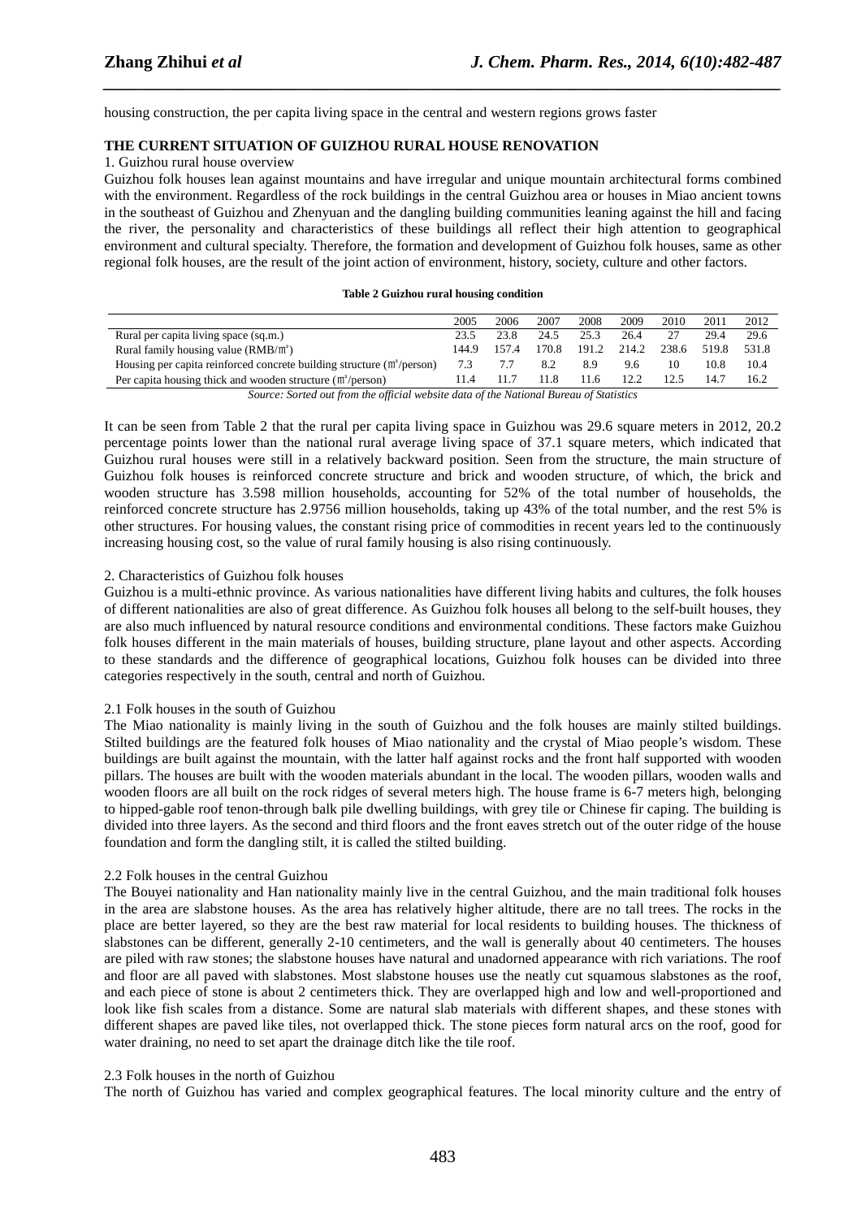housing construction, the per capita living space in the central and western regions grows faster

# **THE CURRENT SITUATION OF GUIZHOU RURAL HOUSE RENOVATION**

#### 1. Guizhou rural house overview

Guizhou folk houses lean against mountains and have irregular and unique mountain architectural forms combined with the environment. Regardless of the rock buildings in the central Guizhou area or houses in Miao ancient towns in the southeast of Guizhou and Zhenyuan and the dangling building communities leaning against the hill and facing the river, the personality and characteristics of these buildings all reflect their high attention to geographical environment and cultural specialty. Therefore, the formation and development of Guizhou folk houses, same as other regional folk houses, are the result of the joint action of environment, history, society, culture and other factors.

*\_\_\_\_\_\_\_\_\_\_\_\_\_\_\_\_\_\_\_\_\_\_\_\_\_\_\_\_\_\_\_\_\_\_\_\_\_\_\_\_\_\_\_\_\_\_\_\_\_\_\_\_\_\_\_\_\_\_\_\_\_\_\_\_\_\_\_\_\_\_\_\_\_\_\_\_\_\_*

| Table 2 Guizhou rural housing condition |
|-----------------------------------------|
|-----------------------------------------|

|                                                                                        | 2005  | 2006  | 2007  | 2008  | 2009  | 2010  | 2011  | 2012  |
|----------------------------------------------------------------------------------------|-------|-------|-------|-------|-------|-------|-------|-------|
| Rural per capita living space (sq.m.)                                                  | 23.5  | 23.8  | 24.5  | 25.3  | 26.4  |       | 29.4  | 29.6  |
| Rural family housing value $(RMB/m2)$                                                  | 144.9 | 157.4 | 170.8 | 191.2 | 214.2 | 238.6 | 519.8 | 531.8 |
| Housing per capita reinforced concrete building structure $(m^2/\text{person})$        | 7.3   | 7.7   | 8.2   | 8.9   | 9.6   | 10    | 10.8  | 10.4  |
| Per capita housing thick and wooden structure $(m^2/\text{person})$                    | 11.4  | 11.7  | 11.8  | 11.6  | 12.2  |       | 14.7  | 16.2  |
| Source: Sorted out from the official website data of the National Bureau of Statistics |       |       |       |       |       |       |       |       |

It can be seen from Table 2 that the rural per capita living space in Guizhou was 29.6 square meters in 2012, 20.2 percentage points lower than the national rural average living space of 37.1 square meters, which indicated that Guizhou rural houses were still in a relatively backward position. Seen from the structure, the main structure of Guizhou folk houses is reinforced concrete structure and brick and wooden structure, of which, the brick and wooden structure has 3.598 million households, accounting for 52% of the total number of households, the reinforced concrete structure has 2.9756 million households, taking up 43% of the total number, and the rest 5% is other structures. For housing values, the constant rising price of commodities in recent years led to the continuously increasing housing cost, so the value of rural family housing is also rising continuously.

#### 2. Characteristics of Guizhou folk houses

Guizhou is a multi-ethnic province. As various nationalities have different living habits and cultures, the folk houses of different nationalities are also of great difference. As Guizhou folk houses all belong to the self-built houses, they are also much influenced by natural resource conditions and environmental conditions. These factors make Guizhou folk houses different in the main materials of houses, building structure, plane layout and other aspects. According to these standards and the difference of geographical locations, Guizhou folk houses can be divided into three categories respectively in the south, central and north of Guizhou.

#### 2.1 Folk houses in the south of Guizhou

The Miao nationality is mainly living in the south of Guizhou and the folk houses are mainly stilted buildings. Stilted buildings are the featured folk houses of Miao nationality and the crystal of Miao people's wisdom. These buildings are built against the mountain, with the latter half against rocks and the front half supported with wooden pillars. The houses are built with the wooden materials abundant in the local. The wooden pillars, wooden walls and wooden floors are all built on the rock ridges of several meters high. The house frame is 6-7 meters high, belonging to hipped-gable roof tenon-through balk pile dwelling buildings, with grey tile or Chinese fir caping. The building is divided into three layers. As the second and third floors and the front eaves stretch out of the outer ridge of the house foundation and form the dangling stilt, it is called the stilted building.

#### 2.2 Folk houses in the central Guizhou

The Bouyei nationality and Han nationality mainly live in the central Guizhou, and the main traditional folk houses in the area are slabstone houses. As the area has relatively higher altitude, there are no tall trees. The rocks in the place are better layered, so they are the best raw material for local residents to building houses. The thickness of slabstones can be different, generally 2-10 centimeters, and the wall is generally about 40 centimeters. The houses are piled with raw stones; the slabstone houses have natural and unadorned appearance with rich variations. The roof and floor are all paved with slabstones. Most slabstone houses use the neatly cut squamous slabstones as the roof, and each piece of stone is about 2 centimeters thick. They are overlapped high and low and well-proportioned and look like fish scales from a distance. Some are natural slab materials with different shapes, and these stones with different shapes are paved like tiles, not overlapped thick. The stone pieces form natural arcs on the roof, good for water draining, no need to set apart the drainage ditch like the tile roof.

#### 2.3 Folk houses in the north of Guizhou

The north of Guizhou has varied and complex geographical features. The local minority culture and the entry of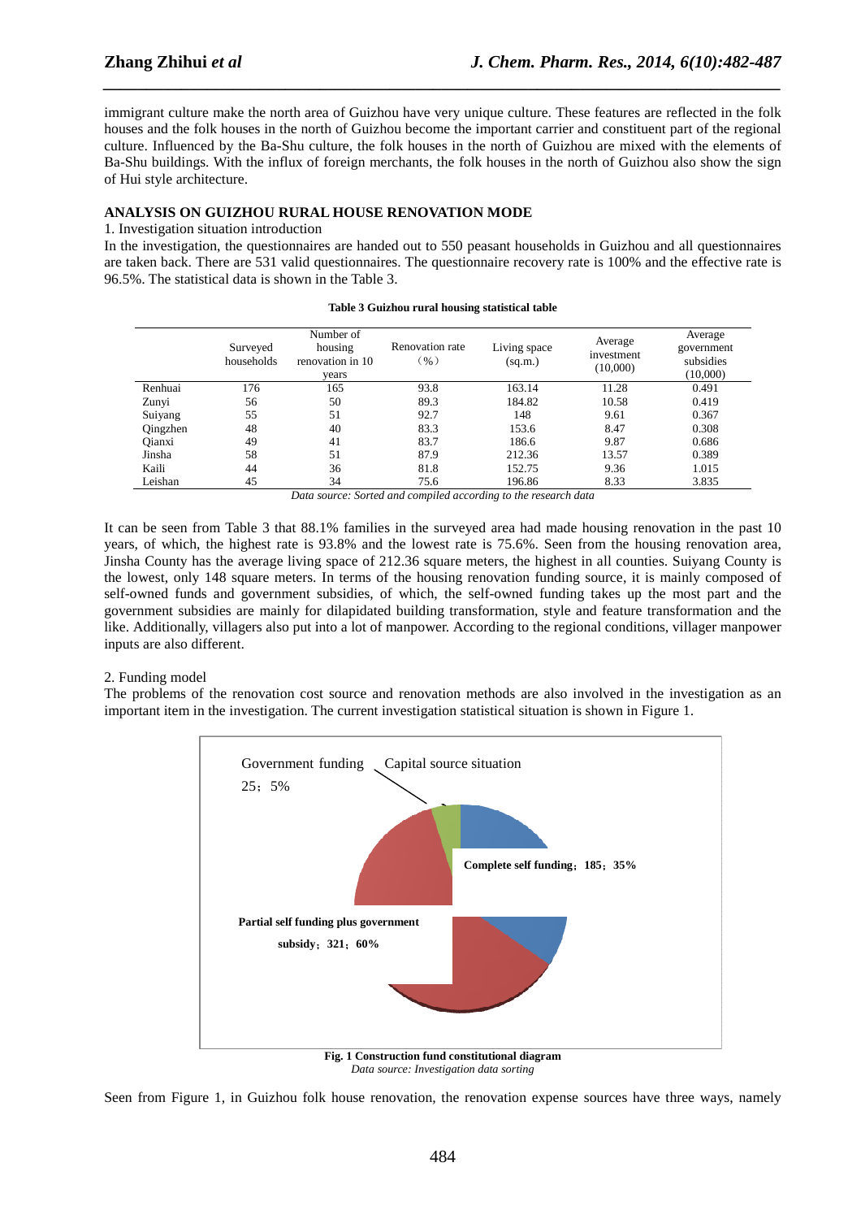immigrant culture make the north area of Guizhou have very unique culture. These features are reflected in the folk houses and the folk houses in the north of Guizhou become the important carrier and constituent part of the regional culture. Influenced by the Ba-Shu culture, the folk houses in the north of Guizhou are mixed with the elements of Ba-Shu buildings. With the influx of foreign merchants, the folk houses in the north of Guizhou also show the sign of Hui style architecture.

*\_\_\_\_\_\_\_\_\_\_\_\_\_\_\_\_\_\_\_\_\_\_\_\_\_\_\_\_\_\_\_\_\_\_\_\_\_\_\_\_\_\_\_\_\_\_\_\_\_\_\_\_\_\_\_\_\_\_\_\_\_\_\_\_\_\_\_\_\_\_\_\_\_\_\_\_\_\_*

# **ANALYSIS ON GUIZHOU RURAL HOUSE RENOVATION MODE**

#### 1. Investigation situation introduction

In the investigation, the questionnaires are handed out to 550 peasant households in Guizhou and all questionnaires are taken back. There are 531 valid questionnaires. The questionnaire recovery rate is 100% and the effective rate is 96.5%. The statistical data is shown in the Table 3.

|          | Surveyed<br>households | Number of<br>housing<br>renovation in 10<br>vears | Renovation rate<br>$\left( \frac{9}{0} \right)$ | Living space<br>(sq.m.) | Average<br>investment<br>(10,000) | Average<br>government<br>subsidies<br>(10,000) |
|----------|------------------------|---------------------------------------------------|-------------------------------------------------|-------------------------|-----------------------------------|------------------------------------------------|
| Renhuai  | 176                    | 165                                               | 93.8                                            | 163.14                  | 11.28                             | 0.491                                          |
| Zunyi    | 56                     | 50                                                | 89.3                                            | 184.82                  | 10.58                             | 0.419                                          |
| Suiyang  | 55                     | 51                                                | 92.7                                            | 148                     | 9.61                              | 0.367                                          |
| Qingzhen | 48                     | 40                                                | 83.3                                            | 153.6                   | 8.47                              | 0.308                                          |
| Qianxi   | 49                     | 41                                                | 83.7                                            | 186.6                   | 9.87                              | 0.686                                          |
| Jinsha   | 58                     | 51                                                | 87.9                                            | 212.36                  | 13.57                             | 0.389                                          |
| Kaili    | 44                     | 36                                                | 81.8                                            | 152.75                  | 9.36                              | 1.015                                          |
| Leishan  | 45                     | 34                                                | 75.6                                            | 196.86                  | 8.33                              | 3.835                                          |

#### **Table 3 Guizhou rural housing statistical table**

*Data source: Sorted and compiled according to the research data* 

It can be seen from Table 3 that 88.1% families in the surveyed area had made housing renovation in the past 10 years, of which, the highest rate is 93.8% and the lowest rate is 75.6%. Seen from the housing renovation area, Jinsha County has the average living space of 212.36 square meters, the highest in all counties. Suiyang County is the lowest, only 148 square meters. In terms of the housing renovation funding source, it is mainly composed of self-owned funds and government subsidies, of which, the self-owned funding takes up the most part and the government subsidies are mainly for dilapidated building transformation, style and feature transformation and the like. Additionally, villagers also put into a lot of manpower. According to the regional conditions, villager manpower inputs are also different.

## 2. Funding model

The problems of the renovation cost source and renovation methods are also involved in the investigation as an important item in the investigation. The current investigation statistical situation is shown in Figure 1.



*Data source: Investigation data sorting* 

Seen from Figure 1, in Guizhou folk house renovation, the renovation expense sources have three ways, namely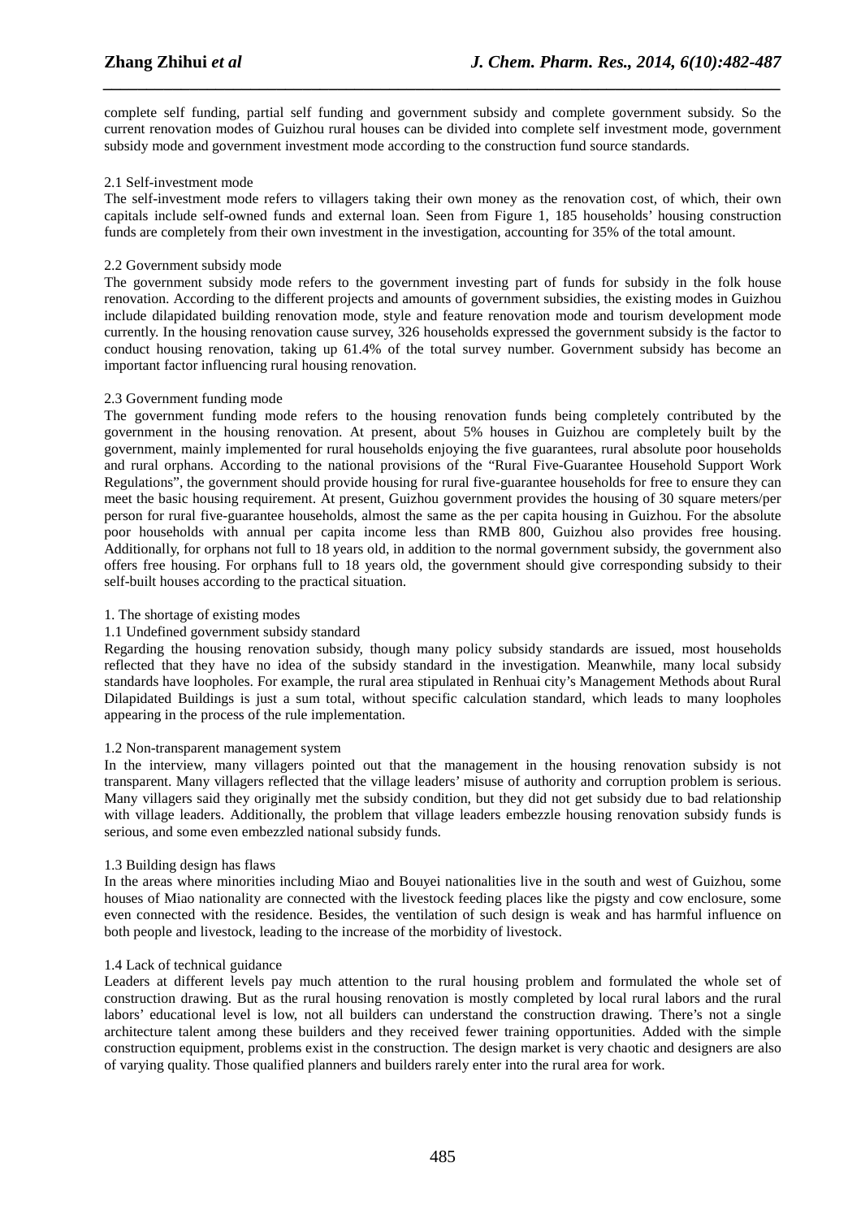complete self funding, partial self funding and government subsidy and complete government subsidy. So the current renovation modes of Guizhou rural houses can be divided into complete self investment mode, government subsidy mode and government investment mode according to the construction fund source standards.

*\_\_\_\_\_\_\_\_\_\_\_\_\_\_\_\_\_\_\_\_\_\_\_\_\_\_\_\_\_\_\_\_\_\_\_\_\_\_\_\_\_\_\_\_\_\_\_\_\_\_\_\_\_\_\_\_\_\_\_\_\_\_\_\_\_\_\_\_\_\_\_\_\_\_\_\_\_\_*

# 2.1 Self-investment mode

The self-investment mode refers to villagers taking their own money as the renovation cost, of which, their own capitals include self-owned funds and external loan. Seen from Figure 1, 185 households' housing construction funds are completely from their own investment in the investigation, accounting for 35% of the total amount.

# 2.2 Government subsidy mode

The government subsidy mode refers to the government investing part of funds for subsidy in the folk house renovation. According to the different projects and amounts of government subsidies, the existing modes in Guizhou include dilapidated building renovation mode, style and feature renovation mode and tourism development mode currently. In the housing renovation cause survey, 326 households expressed the government subsidy is the factor to conduct housing renovation, taking up 61.4% of the total survey number. Government subsidy has become an important factor influencing rural housing renovation.

## 2.3 Government funding mode

The government funding mode refers to the housing renovation funds being completely contributed by the government in the housing renovation. At present, about 5% houses in Guizhou are completely built by the government, mainly implemented for rural households enjoying the five guarantees, rural absolute poor households and rural orphans. According to the national provisions of the "Rural Five-Guarantee Household Support Work Regulations", the government should provide housing for rural five-guarantee households for free to ensure they can meet the basic housing requirement. At present, Guizhou government provides the housing of 30 square meters/per person for rural five-guarantee households, almost the same as the per capita housing in Guizhou. For the absolute poor households with annual per capita income less than RMB 800, Guizhou also provides free housing. Additionally, for orphans not full to 18 years old, in addition to the normal government subsidy, the government also offers free housing. For orphans full to 18 years old, the government should give corresponding subsidy to their self-built houses according to the practical situation.

# 1. The shortage of existing modes

## 1.1 Undefined government subsidy standard

Regarding the housing renovation subsidy, though many policy subsidy standards are issued, most households reflected that they have no idea of the subsidy standard in the investigation. Meanwhile, many local subsidy standards have loopholes. For example, the rural area stipulated in Renhuai city's Management Methods about Rural Dilapidated Buildings is just a sum total, without specific calculation standard, which leads to many loopholes appearing in the process of the rule implementation.

## 1.2 Non-transparent management system

In the interview, many villagers pointed out that the management in the housing renovation subsidy is not transparent. Many villagers reflected that the village leaders' misuse of authority and corruption problem is serious. Many villagers said they originally met the subsidy condition, but they did not get subsidy due to bad relationship with village leaders. Additionally, the problem that village leaders embezzle housing renovation subsidy funds is serious, and some even embezzled national subsidy funds.

## 1.3 Building design has flaws

In the areas where minorities including Miao and Bouyei nationalities live in the south and west of Guizhou, some houses of Miao nationality are connected with the livestock feeding places like the pigsty and cow enclosure, some even connected with the residence. Besides, the ventilation of such design is weak and has harmful influence on both people and livestock, leading to the increase of the morbidity of livestock.

## 1.4 Lack of technical guidance

Leaders at different levels pay much attention to the rural housing problem and formulated the whole set of construction drawing. But as the rural housing renovation is mostly completed by local rural labors and the rural labors' educational level is low, not all builders can understand the construction drawing. There's not a single architecture talent among these builders and they received fewer training opportunities. Added with the simple construction equipment, problems exist in the construction. The design market is very chaotic and designers are also of varying quality. Those qualified planners and builders rarely enter into the rural area for work.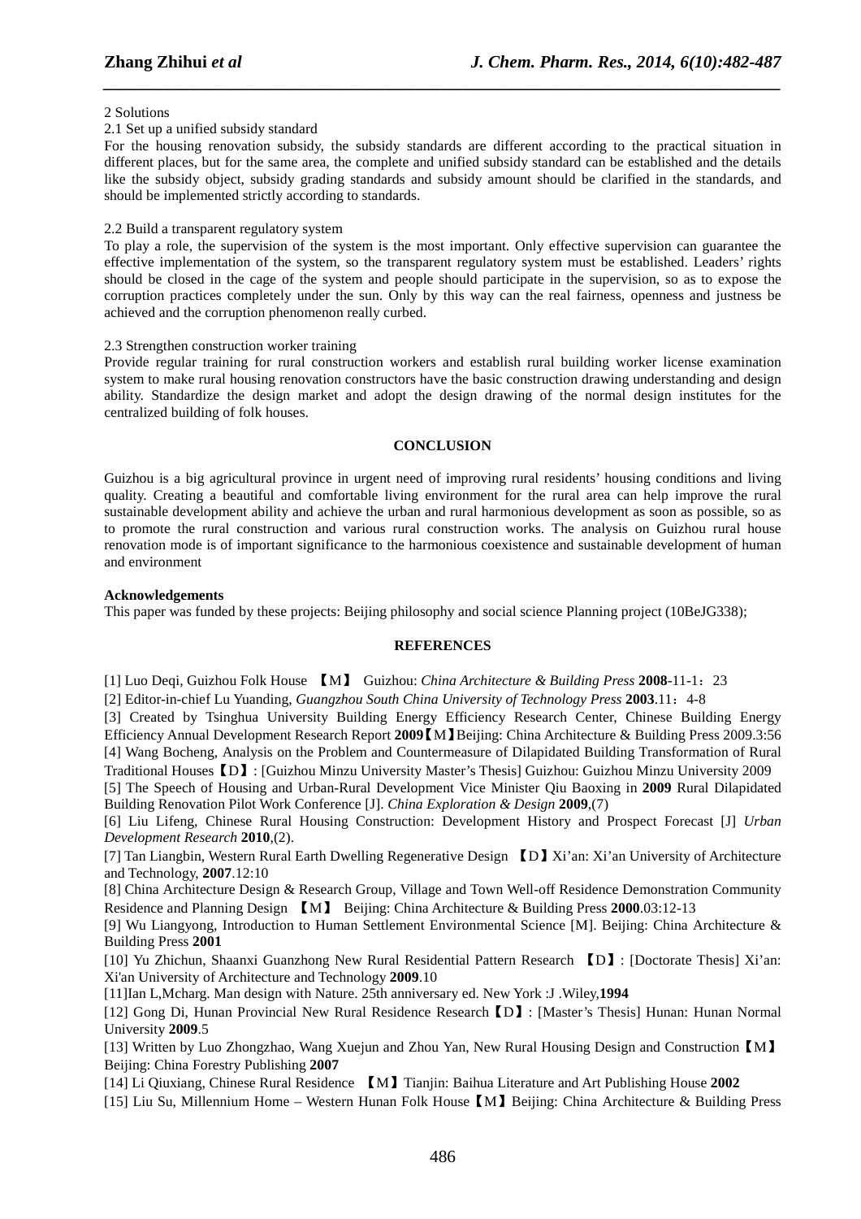#### 2 Solutions

#### 2.1 Set up a unified subsidy standard

For the housing renovation subsidy, the subsidy standards are different according to the practical situation in different places, but for the same area, the complete and unified subsidy standard can be established and the details like the subsidy object, subsidy grading standards and subsidy amount should be clarified in the standards, and should be implemented strictly according to standards.

*\_\_\_\_\_\_\_\_\_\_\_\_\_\_\_\_\_\_\_\_\_\_\_\_\_\_\_\_\_\_\_\_\_\_\_\_\_\_\_\_\_\_\_\_\_\_\_\_\_\_\_\_\_\_\_\_\_\_\_\_\_\_\_\_\_\_\_\_\_\_\_\_\_\_\_\_\_\_*

#### 2.2 Build a transparent regulatory system

To play a role, the supervision of the system is the most important. Only effective supervision can guarantee the effective implementation of the system, so the transparent regulatory system must be established. Leaders' rights should be closed in the cage of the system and people should participate in the supervision, so as to expose the corruption practices completely under the sun. Only by this way can the real fairness, openness and justness be achieved and the corruption phenomenon really curbed.

## 2.3 Strengthen construction worker training

Provide regular training for rural construction workers and establish rural building worker license examination system to make rural housing renovation constructors have the basic construction drawing understanding and design ability. Standardize the design market and adopt the design drawing of the normal design institutes for the centralized building of folk houses.

#### **CONCLUSION**

Guizhou is a big agricultural province in urgent need of improving rural residents' housing conditions and living quality. Creating a beautiful and comfortable living environment for the rural area can help improve the rural sustainable development ability and achieve the urban and rural harmonious development as soon as possible, so as to promote the rural construction and various rural construction works. The analysis on Guizhou rural house renovation mode is of important significance to the harmonious coexistence and sustainable development of human and environment

#### **Acknowledgements**

This paper was funded by these projects: Beijing philosophy and social science Planning project (10BeJG338);

# **REFERENCES**

[1] Luo Deqi, Guizhou Folk House 【M】 Guizhou: *China Architecture & Building Press* **2008**-11-1:23

[2] Editor-in-chief Lu Yuanding, *Guangzhou South China University of Technology Press* **2003**.11:4-8

[3] Created by Tsinghua University Building Energy Efficiency Research Center, Chinese Building Energy Efficiency Annual Development Research Report **2009**【M】Beijing: China Architecture & Building Press 2009.3:56 [4] Wang Bocheng, Analysis on the Problem and Countermeasure of Dilapidated Building Transformation of Rural Traditional Houses【D】: [Guizhou Minzu University Master's Thesis] Guizhou: Guizhou Minzu University 2009

[5] The Speech of Housing and Urban-Rural Development Vice Minister Qiu Baoxing in **2009** Rural Dilapidated Building Renovation Pilot Work Conference [J]. *China Exploration & Design* **2009**,(7)

[6] Liu Lifeng, Chinese Rural Housing Construction: Development History and Prospect Forecast [J] *Urban Development Research* **2010**,(2).

[7] Tan Liangbin, Western Rural Earth Dwelling Regenerative Design 【D】Xi'an: Xi'an University of Architecture and Technology, **2007**.12:10

[8] China Architecture Design & Research Group, Village and Town Well-off Residence Demonstration Community Residence and Planning Design 【M】 Beijing: China Architecture & Building Press **2000**.03:12-13

[9] Wu Liangyong, Introduction to Human Settlement Environmental Science [M]. Beijing: China Architecture & Building Press **2001**

[10] Yu Zhichun, Shaanxi Guanzhong New Rural Residential Pattern Research 【D】: [Doctorate Thesis] Xi'an: Xi'an University of Architecture and Technology **2009**.10

[11]Ian L,Mcharg. Man design with Nature. 25th anniversary ed. New York :J .Wiley,**1994**

[12] Gong Di, Hunan Provincial New Rural Residence Research【D】: [Master's Thesis] Hunan: Hunan Normal University **2009**.5

[13] Written by Luo Zhongzhao, Wang Xuejun and Zhou Yan, New Rural Housing Design and Construction【M】 Beijing: China Forestry Publishing **2007**

[14] Li Qiuxiang, Chinese Rural Residence 【M】Tianjin: Baihua Literature and Art Publishing House **2002**

[15] Liu Su, Millennium Home – Western Hunan Folk House【M】Beijing: China Architecture & Building Press